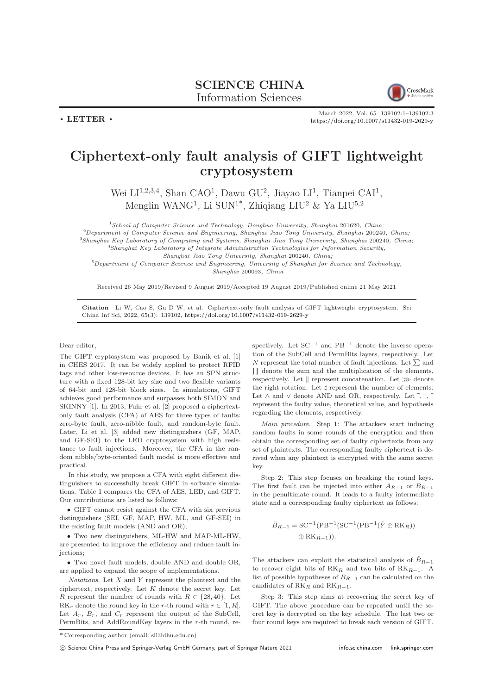

March 2022, Vol. 65 139102:1–139102[:3](#page-2-0) <https://doi.org/10.1007/s11432-019-2629-y>

## Ciphertext-only fault analysis of GIFT lightweight cryptosystem

Wei  $LI^{1,2,3,4}$ , Shan CAO<sup>1</sup>, Dawu GU<sup>2</sup>, Jiayao  $LI^1$ , Tianpei CAI<sup>1</sup>, Menglin WANG<sup>1</sup>, Li SUN<sup>1\*</sup>, Zhiqiang LIU<sup>2</sup> & Ya LIU<sup>5,2</sup>

 $1$ School of Computer Science and Technology, Donghua University, Shanghai 201620, China;  $^{2}$ Department of Computer Science and Engineering, Shanghai Jiao Tong University, Shanghai 200240, China;

<sup>3</sup>Shanghai Key Laboratory of Computing and Systems, Shanghai Jiao Tong University, Shanghai 200240, China;

 $^{4}$ Shanghai Key Laboratory of Integrate Administration Technologies for Information Security,

Shanghai Jiao Tong University, Shanghai 200240, China;

 $5$ Department of Computer Science and Engineering, University of Shanghai for Science and Technology, Shanghai 200093, China

Received 26 May 2019/Revised 9 August 2019/Accepted 19 August 2019/Published online 21 May 2021

Citation Li W, Cao S, Gu D W, et al. Ciphertext-only fault analysis of GIFT lightweight cryptosystem. Sci China Inf Sci, 2022, 65(3): 139102, <https://doi.org/10.1007/s11432-019-2629-y>

## Dear editor,

 $\cdot$  LETTER  $\cdot$ 

The GIFT cryptosystem was proposed by Banik et al. [\[1\]](#page-2-1) in CHES 2017. It can be widely applied to protect RFID tags and other low-resource devices. It has an SPN structure with a fixed 128-bit key size and two flexible variants of 64-bit and 128-bit block sizes. In simulations, GIFT achieves good performance and surpasses both SIMON and SKINNY [\[1\]](#page-2-1). In 2013, Fuhr et al. [\[2\]](#page-2-2) proposed a ciphertextonly fault analysis (CFA) of AES for three types of faults: zero-byte fault, zero-nibble fault, and random-byte fault. Later, Li et al. [\[3\]](#page-2-3) added new distinguishers (GF, MAP, and GF-SEI) to the LED cryptosystem with high resistance to fault injections. Moreover, the CFA in the random nibble/byte-oriented fault model is more effective and practical.

In this study, we propose a CFA with eight different distinguishers to successfully break GIFT in software simulations. Table [1](#page-1-0) compares the CFA of AES, LED, and GIFT. Our contributions are listed as follows:

• GIFT cannot resist against the CFA with six previous distinguishers (SEI, GF, MAP, HW, ML, and GF-SEI) in the existing fault models (AND and OR);

• Two new distinguishers, ML-HW and MAP-ML-HW, are presented to improve the efficiency and reduce fault injections;

• Two novel fault models, double AND and double OR, are applied to expand the scope of implementations.

 $Notations.$  Let  $X$  and  $Y$  represent the plaintext and the ciphertext, respectively. Let  $K$  denote the secret key. Let R represent the number of rounds with  $R \in \{28, 40\}$ . Let  $RK_r$  denote the round key in the r-th round with  $r \in [1, R]$ . Let  $A_r$ ,  $B_r$ , and  $C_r$  represent the output of the SubCell, PermBits, and AddRoundKey layers in the r-th round, respectively. Let  $SC^{-1}$  and  $PB^{-1}$  denote the inverse operation of the SubCell and PermBits layers, respectively. Let N represent the total number of fault injections. Let  $\Sigma$  and  $\Pi$  denote the sum and the multiplication of the elements, respectively. Let  $\parallel$  represent concatenation. Let  $\gg$  denote the right rotation. Let ♯ represent the number of elements. Let  $\land$  and  $\lor$  denote AND and OR, respectively. Let ~,  $\vec{ }$ ,  $\vec{ }$ , represent the faulty value, theoretical value, and hypothesis regarding the elements, respectively.

Main procedure. Step 1: The attackers start inducing random faults in some rounds of the encryption and then obtain the corresponding set of faulty ciphertexts from any set of plaintexts. The corresponding faulty ciphertext is derived when any plaintext is encrypted with the same secret key.

Step 2: This step focuses on breaking the round keys. The first fault can be injected into either  $A_{R-1}$  or  $B_{R-1}$ in the penultimate round. It leads to a faulty intermediate state and a corresponding faulty ciphertext as follows:

$$
\tilde{B}_{R-1} = \mathbf{SC}^{-1}(\mathbf{PB}^{-1}(\mathbf{SC}^{-1}(\mathbf{PB}^{-1}(\tilde{Y} \oplus \mathbf{RK}_R)))
$$
  

$$
\oplus \mathbf{RK}_{R-1})).
$$

The attackers can exploit the statistical analysis of  $\tilde{B}_{R-1}$ to recover eight bits of  $RK_R$  and two bits of  $RK_{R-1}$ . A list of possible hypotheses of  $B_{R-1}$  can be calculated on the candidates of  $RK_R$  and  $RK_{R-1}$ .

Step 3: This step aims at recovering the secret key of GIFT. The above procedure can be repeated until the secret key is decrypted on the key schedule. The last two or four round keys are required to break each version of GIFT.

(C) Science China Press and Springer-Verlag GmbH Germany, part of Springer Nature 2021 <info.scichina.com><link.springer.com>

<sup>\*</sup> Corresponding author (email: sli@dhu.edu.cn)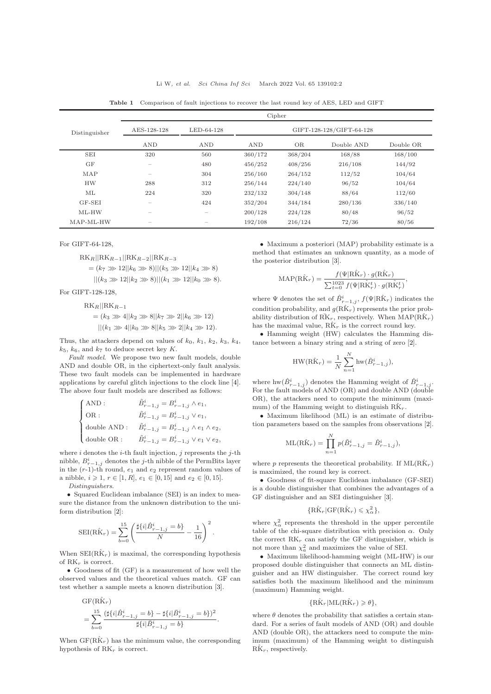<span id="page-1-0"></span>

|               | Cipher            |            |                          |           |            |           |
|---------------|-------------------|------------|--------------------------|-----------|------------|-----------|
| Distinguisher | AES-128-128       | LED-64-128 | GIFT-128-128/GIFT-64-128 |           |            |           |
|               | <b>AND</b>        | <b>AND</b> | <b>AND</b>               | <b>OR</b> | Double AND | Double OR |
| <b>SEI</b>    | 320               | 560        | 360/172                  | 368/204   | 168/88     | 168/100   |
| <b>GF</b>     | $\hspace{0.05cm}$ | 480        | 456/252                  | 408/256   | 216/108    | 144/92    |
| MAP           | $\hspace{0.05cm}$ | 304        | 256/160                  | 264/152   | 112/52     | 104/64    |
| <b>HW</b>     | 288               | 312        | 256/144                  | 224/140   | 96/52      | 104/64    |
| МL            | 224               | 320        | 232/132                  | 304/148   | 88/64      | 112/60    |
| GF-SEI        | $\sim$            | 424        | 352/204                  | 344/184   | 280/136    | 336/140   |
| $ML$ - $HW$   | $\sim$            | $\sim$     | 200/128                  | 224/128   | 80/48      | 96/52     |
| MAP-ML-HW     | $-$               | $\sim$     | 192/108                  | 216/124   | 72/36      | 80/56     |

Table 1 Comparison of fault injections to recover the last round key of AES, LED and GIFT

For GIFT-64-128,

 $RK_R||RK_{R-1}||RK_{R-2}||RK_{R-3}$ 

$$
= (k_7 \gg 12||k_6 \gg 8)||(k_5 \gg 12||k_4 \gg 8)
$$

$$
||(k_3 \gg 12||k_2 \gg 8)||(k_1 \gg 12||k_0 \gg 8).
$$

For GIFT-128-128,

 $RK_R||RK_{R-1}$ 

$$
= (k_3 \gg 4||k_2 \gg 8||k_7 \gg 2||k_6 \gg 12)
$$

 $||(k_1 \gg 4||k_0 \gg 8||k_5 \gg 2||k_4 \gg 12).$ 

Thus, the attackers depend on values of  $k_0$ ,  $k_1$ ,  $k_2$ ,  $k_3$ ,  $k_4$ ,  $k_5$ ,  $k_6$ , and  $k_7$  to deduce secret key K.

Fault model. We propose two new fault models, double AND and double OR, in the ciphertext-only fault analysis. These two fault models can be implemented in hardware applications by careful glitch injections to the clock line [\[4\]](#page-2-4). The above four fault models are described as follows:

$$
\left\{ \begin{aligned} &\text{AND}: \qquad &\tilde{B}^i_{r-1,j} = B^i_{r-1,j} \wedge e_1, \\ &\text{OR}: \qquad &\tilde{B}^i_{r-1,j} = B^i_{r-1,j} \vee e_1, \\ &\text{double AND}: \quad &\tilde{B}^i_{r-1,j} = B^i_{r-1,j} \wedge e_1 \wedge e_2, \\ &\text{double OR}: \qquad &\tilde{B}^i_{r-1,j} = B^i_{r-1,j} \vee e_1 \vee e_2, \end{aligned} \right.
$$

where  $i$  denotes the  $i$ -th fault injection,  $j$  represents the  $j$ -th nibble,  $B_{r-1,j}^i$  denotes the *j*-th nibble of the PermBits layer in the  $(r-1)$ -th round,  $e_1$  and  $e_2$  represent random values of a nibble,  $i \geq 1$ ,  $r \in [1, R]$ ,  $e_1 \in [0, 15]$  and  $e_2 \in [0, 15]$ .

Distinguishers.

• Squared Euclidean imbalance (SEI) is an index to measure the distance from the unknown distribution to the uniform distribution [\[2\]](#page-2-2):

$$
SEI(R\hat{K}_r) = \sum_{b=0}^{15} \left( \frac{\sharp\{i|\hat{B}_{r-1,j}^i = b\}}{N} - \frac{1}{16} \right)^2.
$$

When  $SEI(R\hat{K}_r)$  is maximal, the corresponding hypothesis of  $RK<sub>r</sub>$  is correct.

• Goodness of fit (GF) is a measurement of how well the observed values and the theoretical values match. GF can test whether a sample meets a known distribution [\[3\]](#page-2-3).

$$
\begin{split} &\textrm{GF}(\textrm{R}\textrm{\^{K}}_{r})\\ &=\sum_{b=0}^{15}\frac{(\sharp\{i|\hat{B}_{r-1,j}^{i}=b\}-\sharp\{i|\bar{B}_{r-1,j}^{i}=b\})^{2}}{\sharp\{i|\bar{B}_{r-1,j}^{i}=b\}}. \end{split}
$$

When  $GF(R\hat{K}_r)$  has the minimum value, the corresponding hypothesis of  $\mathrm{RK}_r$  is correct.

• Maximum a posteriori (MAP) probability estimate is a method that estimates an unknown quantity, as a mode of the posterior distribution [\[3\]](#page-2-3).

$$
\text{MAP}(\hat{\text{R}\hat{\text{K}}}_r) = \frac{f(\Psi|\hat{\text{R}\hat{\text{K}}}_r) \cdot g(\hat{\text{R}\hat{\text{K}}}_r)}{\sum_{t=0}^{1023} f(\Psi|\hat{\text{R}\hat{\text{K}}}_r^t) \cdot g(\hat{\text{R}\hat{\text{K}}}_r^t)}
$$

,

where  $\Psi$  denotes the set of  $\hat{B}_{r-1,j}^i$ ,  $f(\Psi | \hat{R} \hat{K}_r)$  indicates the condition probability, and  $g(R\hat{K}_r)$  represents the prior probability distribution of  $\overline{RK}_r$ , respectively. When  $\text{MAP}(\hat{RK}_r)$ has the maximal value,  $R\hat{K}_r$  is the correct round key.

• Hamming weight (HW) calculates the Hamming distance between a binary string and a string of zero [\[2\]](#page-2-2).

$$
HW(R\hat{K}_r) = \frac{1}{N} \sum_{n=1}^{N} hw(\hat{B}_{r-1,j}^{i}),
$$

where  $hw(\hat{B}_{r-1,j}^i)$  denotes the Hamming weight of  $\hat{B}_{r-1,j}^i$ . For the fault models of AND (OR) and double AND (double OR), the attackers need to compute the minimum (maximum) of the Hamming weight to distinguish  $R\hat{K}_r$ .

• Maximum likelihood (ML) is an estimate of distribution parameters based on the samples from observations [\[2\]](#page-2-2).

ML(R
$$
\hat{K}_r
$$
) =  $\prod_{n=1}^{N} p(\tilde{B}_{r-1,j}^i = \hat{B}_{r-1,j}^i),$ 

where p represents the theoretical probability. If  $ML(R\hat{K}_r)$ is maximized, the round key is correct.

• Goodness of fit-square Euclidean imbalance (GF-SEI) is a double distinguisher that combines the advantages of a GF distinguisher and an SEI distinguisher [\[3\]](#page-2-3).

$$
\{\hat{\mathbf{R}\hat{\mathbf{K}}}_r|\mathbf{G}\mathbf{F}(\mathbf{R}\hat{\mathbf{K}}_r)\leqslant \chi^2_\alpha\},
$$

where  $\chi^2_{\alpha}$  represents the threshold in the upper percentile table of the chi-square distribution with precision  $\alpha$ . Only the correct  $RK_r$  can satisfy the GF distinguisher, which is not more than  $\chi^2_a$  and maximizes the value of SEI.

• Maximum likelihood-hamming weight (ML-HW) is our proposed double distinguisher that connects an ML distinguisher and an HW distinguisher. The correct round key satisfies both the maximum likelihood and the minimum (maximum) Hamming weight.

## $\{R\hat{K}_r | ML(R\hat{K}_r) \geq \theta\},\$

where  $\theta$  denotes the probability that satisfies a certain standard. For a series of fault models of AND (OR) and double AND (double OR), the attackers need to compute the minimum (maximum) of the Hamming weight to distinguish  $R\hat{K}_r$ , respectively.